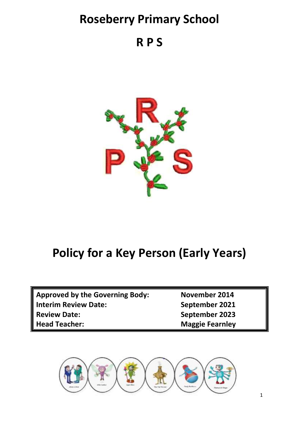# **Roseberry Primary School**

**R P S**



# **Policy for a Key Person (Early Years)**

| <b>Approved by the Governing Body:</b> | November 2014          |
|----------------------------------------|------------------------|
| <b>Interim Review Date:</b>            | September 2021         |
| <b>Review Date:</b>                    | September 2023         |
| <b>Head Teacher:</b>                   | <b>Maggie Fearnley</b> |

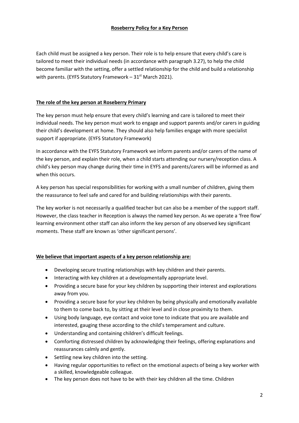#### **Roseberry Policy for a Key Person**

Each child must be assigned a key person. Their role is to help ensure that every child's care is tailored to meet their individual needs (in accordance with paragraph 3.27), to help the child become familiar with the setting, offer a settled relationship for the child and build a relationship with parents. (EYFS Statutory Framework  $-31<sup>st</sup>$  March 2021).

#### **The role of the key person at Roseberry Primary**

The key person must help ensure that every child's learning and care is tailored to meet their individual needs. The key person must work to engage and support parents and/or carers in guiding their child's development at home. They should also help families engage with more specialist support if appropriate. (EYFS Statutory Framework)

In accordance with the EYFS Statutory Framework we inform parents and/or carers of the name of the key person, and explain their role, when a child starts attending our nursery/reception class. A child's key person may change during their time in EYFS and parents/carers will be informed as and when this occurs.

A key person has special responsibilities for working with a small number of children, giving them the reassurance to feel safe and cared for and building relationships with their parents.

The key worker is not necessarily a qualified teacher but can also be a member of the support staff. However, the class teacher in Reception is always the named key person. As we operate a 'free flow' learning environment other staff can also inform the key person of any observed key significant moments. These staff are known as 'other significant persons'.

#### **We believe that important aspects of a key person relationship are:**

- Developing secure trusting relationships with key children and their parents.
- Interacting with key children at a developmentally appropriate level.
- Providing a secure base for your key children by supporting their interest and explorations away from you.
- Providing a secure base for your key children by being physically and emotionally available to them to come back to, by sitting at their level and in close proximity to them.
- Using body language, eye contact and voice tone to indicate that you are available and interested, gauging these according to the child's temperament and culture.
- Understanding and containing children's difficult feelings.
- Comforting distressed children by acknowledging their feelings, offering explanations and reassurances calmly and gently.
- Settling new key children into the setting.
- Having regular opportunities to reflect on the emotional aspects of being a key worker with a skilled, knowledgeable colleague.
- The key person does not have to be with their key children all the time. Children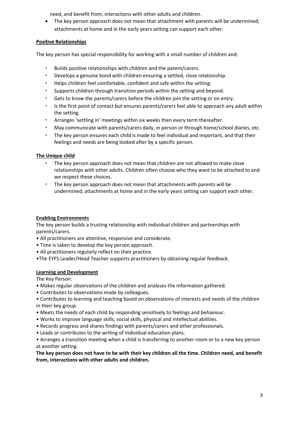need, and benefit from, interactions with other adults and children.

• The key person approach does not mean that attachment with parents will be undermined; attachments at home and in the early years setting can support each other.

# **Positive Relationships**

The key person has special responsibility for working with a small number of children and:

- Builds positive relationships with children and the parent/carers.
- Develops a genuine bond with children ensuring a settled, close relationship.
- Helps children feel comfortable, confident and safe within the setting.
- Supports children through transition periods within the setting and beyond.
- Gets to know the parents/carers before the children join the setting or on entry.
- Is the first point of contact but ensures parents/carers feel able to approach any adult within the setting.
- Arranges 'settling in' meetings within six weeks then every term thereafter.
- May communicate with parents/carers daily, in person or through home/school diaries, etc.
- The key person ensures each child is made to feel individual and important, and that their feelings and needs are being looked after by a specific person.

# **The Unique child**

- The key person approach does not mean that children are not allowed to make close relationships with other adults. Children often choose who they want to be attached to and we respect these choices.
- The key person approach does not mean that attachments with parents will be undermined; attachments at home and in the early years setting can support each other.

# **Enabling Environments**

The key person builds a trusting relationship with individual children and partnerships with parents/carers.

- All practitioners are attentive, responsive and considerate.
- Time is taken to develop the key person approach.
- All practitioners regularly reflect on their practice.
- •The EYFS Leader/Head Teacher supports practitioners by obtaining regular feedback.

### **Learning and Development**

The Key Person:

- Makes regular observations of the children and analyses the information gathered.
- Contributes to observations made by colleagues.
- Contributes to learning and teaching based on observations of interests and needs of the children in their key group.
- Meets the needs of each child by responding sensitively to feelings and behaviour.
- Works to improve language skills, social skills, physical and intellectual abilities.
- Records progress and shares findings with parents/carers and other professionals.
- Leads or contributes to the writing of individual education plans.
- Arranges a transition meeting when a child is transferring to another room or to a new key person at another setting.

**The key person does not have to be with their key children all the time. Children need, and benefit from, interactions with other adults and children.**